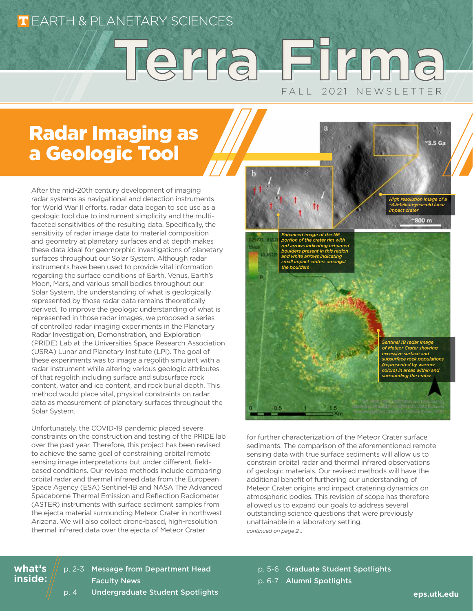### **T** EARTH & PLANETARY SCIENCES

# F A I l 2 0 2 1 N F W S I F T T F R **Terra Firma Terra Firma**

## Radar Imaging as a Geologic Tool

After the mid-20th century development of imaging radar systems as navigational and detection instruments for World War II efforts, radar data began to see use as a geologic tool due to instrument simplicity and the multifaceted sensitivities of the resulting data. Specifically, the sensitivity of radar image data to material composition and geometry at planetary surfaces and at depth makes these data ideal for geomorphic investigations of planetary surfaces throughout our Solar System. Although radar instruments have been used to provide vital information regarding the surface conditions of Earth, Venus, Earth's Moon, Mars, and various small bodies throughout our Solar System, the understanding of what is geologically represented by those radar data remains theoretically derived. To improve the geologic understanding of what is represented in those radar images, we proposed a series of controlled radar imaging experiments in the Planetary Radar Investigation, Demonstration, and Exploration (PRIDE) Lab at the Universities Space Research Association (USRA) Lunar and Planetary Institute (LPI). The goal of these experiments was to image a regolith simulant with a radar instrument while altering various geologic attributes of that regolith including surface and subsurface rock content, water and ice content, and rock burial depth. This method would place vital, physical constraints on radar data as measurement of planetary surfaces throughout the Solar System.

Unfortunately, the COVID-19 pandemic placed severe constraints on the construction and testing of the PRIDE lab over the past year. Therefore, this project has been revised to achieve the same goal of constraining orbital remote sensing image interpretations but under different, fieldbased conditions. Our revised methods include comparing orbital radar and thermal infrared data from the European Space Agency (ESA) Sentinel-1B and NASA The Advanced Spaceborne Thermal Emission and Reflection Radiometer (ASTER) instruments with surface sediment samples from the ejecta material surrounding Meteor Crater in northwest Arizona. We will also collect drone-based, high-resolution thermal infrared data over the ejecta of Meteor Crater

800 m *Enhanced image of the NE*  **1721-031** *portion of the crater rim with red arrows indicating exhumed boulders present in this region and white arrows indicating small impact craters amongst the bouldersSentinel 1B radar image of Meteor Crater showing excessive surface and subsurface rock populations (represented by warmer colors) in areas within and surrounding the crater.*

for further characterization of the Meteor Crater surface sediments. The comparison of the aforementioned remote sensing data with true surface sediments will allow us to constrain orbital radar and thermal infrared observations of geologic materials. Our revised methods will have the additional benefit of furthering our understanding of Meteor Crater origins and impact cratering dynamics on atmospheric bodies. This revision of scope has therefore allowed us to expand our goals to address several outstanding science questions that were previously unattainable in a laboratory setting. *continued on page 2...*

### p. 2-3 Message from Department Head Faculty News

**what's inside:** p. 5-6 Graduate Student Spotlights p. 6-7 Alumni Spotlights

p. 4 Undergraduate Student Spotlights

*High resolution image of a ~3.5-billion-year-old lunar impact crater*

 $35Ga$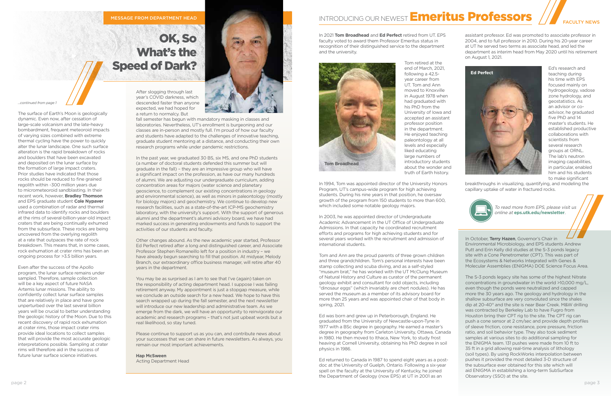In 2021 **Tom Broadhead** and **Ed Perfect** retired from UT. EPS faculty voted to award them Professor Emeritus status in recognition of their distinguished service to the department and the university.

> Tom retired at the end of March, 2021, following a 42.5 year career from UT. Tom and Ann moved to Knoxville in August 1978 when had graduated with his PhD from the University of Iowa and accepted an assistant professor position in the department. He enjoyed teaching paleontology at all levels and especially liked educating large numbers of introductory students about the wonder and truth of Earth history.

In 1994, Tom was appointed director of the University Honors Program, UT's campus-wide program for high achieving students. During his nine years in that position, he oversaw growth of the program from 150 students to more than 600, which included some notable geology majors.

In 2003, he was appointed director of Undergraduate Academic Advancement in the UT Office of Undergraduate Admissions. In that capacity he coordinated recruitment efforts and programs for high achieving students and for several years worked with the recruitment and admission of international students.

Tom and Ann are the proud parents of three grown children and three grandchildren. Tom's personal interests have been stamp collecting and scuba diving, and as a self-styled "museum brat," he has worked with the UT McClung Museum of Natural History and Culture as curator of the permanent geology exhibit and consultant for odd objects, including "dinosaur eggs" (which invariably are chert nodules). He has served the museum as a member of its advisory board for more than 25 years and was appointed chair of that body in spring, 2021.

Ed was born and grew up in Peterborough, England. He graduated from the University of Newcastle-upon-Tyne in 1977 with a BSc degree in geography. He earned a master's degree in geography from Carleton University, Ottawa, Canada in 1980. He then moved to Ithaca, New York, to study frost heaving at Cornell University, obtaining his PhD degree in soil physics in 1986.

Ed returned to Canada in 1987 to spend eight years as a postdoc at the University of Guelph, Ontario. Following a six-year spell on the faculty at the University of Kentucky, he joined the Department of Geology (now EPS) at UT in 2001 as an

assistant professor. Ed was promoted to associate professor in 2004, and to full professor in 2010. During his 20-year career at UT he served two terms as associate head, and led the department as interim head from May 2020 until his retirement on August 1, 2021.

You may be as surprised as I am to see that I've (again) taken on the responsibility of acting department head. I suppose I was failing retirement anyway. My appointment is just a stopgap measure, while we conclude an outside search for a new head. We hope to have this search wrapped up during the fall semester, and the next newsletter will introduce our new leadership and administrative team. As we emerge from the dark, we will have an opportunity to reinvigorate our academic and research programs – that's not just upbeat words but a real likelihood, so stay tuned.

Ed's research and teaching during his time with EPS focused mainly on hydrogeology, vadose zone hydrology, and geostatistics. As an advisor or coadvisor, he graduated five PhD and 14 master's students. He established productive collaborations with scientists from several research groups at ORNL. The lab's neutron imaging capabilities, in particular, enabled him and his students to make significant

breakthroughs in visualizing, quantifying, and modeling the capillary uptake of water in fractured rocks.





After slogging through last year's COVID darkness, which descended faster than anyone expected, we had hoped for a return to normalcy. But

fall semester has begun with mandatory masking in classes and laboratories. Nevertheless, UT's enrollment is burgeoning and our classes are in-person and mostly full. I'm proud of how our faculty and students have adapted to the challenges of innovative teaching, graduate student mentoring at a distance, and conducting their own research programs while under pandemic restrictions.

In the past year, we graduated 30 BS, six MS, and one PhD students (a number of doctoral students defended this summer but will graduate in the fall) – they are an impressive group who will have a significant impact on the profession, as have our many hundreds of alumni. We are adjusting our undergraduate curriculum, adding concentration areas for majors (water science and planetary geoscience, to complement our existing concentrations in geology and environmental science), as well as minors in paleontology (mostly for biology majors) and geochemistry. We continue to develop new research facilities, such as a state-of-the-art ICP-MS geochemistry laboratory, with the university's support. With the support of generous alumni and the department's alumni advisory board, we have had marked success in generating endowments and funds to support the activities of our students and faculty.

Other changes abound. As the new academic year started, Professor Ed Perfect retired after a long and distinguished career, and Associate Professor Stephen Romaneillo left for a position in industry – we have already begun searching to fill that position. At midyear, Melody Branch, our extraordinary office business manager, will retire after 40 years in the department.

Please continue to support us as you can, and contribute news about your successes that we can share in future newsletters. As always, you remain our most important achievements.

**Hap McSween** Acting Department Head

## INTRODUCING OUR NEWEST **Emeritus Professors**

*...continued from page 1*

The surface of Earth's Moon is geologically dynamic. Even now, after cessation of large-scale volcanism and the late-heavy bombardment, frequent meteoroid impacts of varying sizes combined with extreme thermal cycling have the power to quickly alter the lunar landscape. One such surface alteration is the rapid breakdown of rocks and boulders that have been excavated and deposited on the lunar surface by the formation of large impact craters. Prior studies have indicated that those rocks should be reduced to fine grained regolith within ~300 million years due to micrometeoroid sandblasting. In their recent work, however, **Bradley Thomson**  and EPS graduate student **Cole Nypaver** used a combination of radar and thermal infrared data to identify rocks and boulders at the rims of several-billion-year-old impact craters that are being continually exhumed from the subsurface. These rocks are being uncovered from the overlying regolith at a rate that outpaces the rate of rock breakdown. This means that, in some cases, rock exhumation at crater rims has been an ongoing process for >3.5 billion years.

Even after the success of the Apollo program, the lunar surface remains under sampled. Therefore, sample collection will be a key aspect of future NASA Artemis lunar missions. The ability to confidently collect lunar surface samples that are relatively in place and have gone unperturbed over the last several billion years will be crucial to better understanding the geologic history of the Moon. Due to this recent discovery of rapid rock exhumation at crater rims, those impact crater rims provide ideal locations to collect samples that will provide the most accurate geologic interpretations possible. Sampling at crater rims will therefore aid in the success of future lunar surface science initiatives.



## OK, So What's the Speed of Dark?

#### MESSAGE FROM DEPARTMENT HEAD

To read more from EPS, please visit us online at **eps.utk.edu/newsletter**.

In October, **Terry Hazen**, Governor's Chair in Environmental Microbiology, and EPS students Andrew Putt and Erin Kelly did studies at the S-3 ponds legacy site with a Cone Penetrometer (CPT). This was part of the Ecosystems & Networks Integrated with Genes & Molecular Assemblies (ENIGMA) DOE Science Focus Area.

The S-3 ponds legacy site has some of the highest Nitrate concentrations in groundwater in the world >10,000 mg/L, even though the ponds were neutralized and capped more the 30 years ago. The geology and hydrology in the shallow subsurface are very convoluted since the shales dip at 20-40° and the site is near Bear Creek. M&W drilling was contracted by Berkeley Lab to have Fugro from Houston bring their CPT rig to the site. The CPT rig can push a cone sensor at 2 cm/sec and provide depth profiles of sleeve friction, cone resistance, pore pressure, friction ratio, and soil behavior type. They also took sediment samples at various sites to do additional sampling for the ENIGMA team. 131 pushes were made from 10 ft to 35 ft in a grid allowing real-time analysis of lithology (soil types). By using RockWorks interpolation between pushes it provided the most detailed 3-D structure of the subsurface ever obtained for this site which will aid ENIGMA in establishing a long-term SubSurface Observatory (SSO) at the site.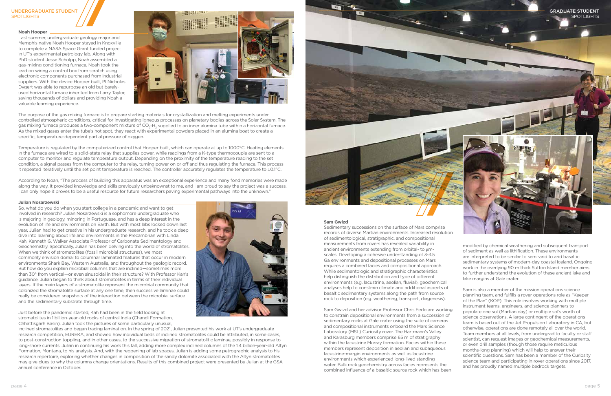records of diverse Martian environments. Increased resolution of sedimentological, stratigraphic, and compositional measurements from rovers has revealed variability in ancient environments extending from orbital- to umscales. Developing a cohesive understanding of 3-3.5 Ga environments and depositional processes on Mars requires a combined facies and compositional approach. While sedimentologic and stratigraphic characteristics help distinguish the distribution and type of different environments (e.g. lacustrine, aeolian, fluvial), geochemical analyses help to constrain climate and additional aspects of basaltic sedimentary systems along the path from source rock to deposition (e.g. weathering, transport, diagenesis).

Sam Gwizd and her advisor Professor Chris Fedo are working to constrain depositional environments from a succession of sedimentary rocks at Gale crater using the suite of cameras and compositional instruments onboard the Mars Science Laboratory (MSL) Curiosity rover. The Hartmann's Valley and Karasburg members comprise 65 m of stratigraphy within the lacustrine Murray formation. Facies within these members represent deposition in aeolian and subaqueous lacustrine-margin environments as well as lacustrine environments which experienced long-lived standing water. Bulk rock geochemistry across facies represents the combined influence of a basaltic source rock which has been

modified by chemical weathering and subsequent transport of sediment as well as lithification. These environments are interpreted to be similar to semi-arid to arid basaltic sedimentary systems of modern-day coastal Iceland. Ongoing work in the overlying 90 m thick Sutton Island member aims to further understand the evolution of these ancient lake and lake margins at Gale crater.

According to Noah, "The process of building this apparatus was an exceptional experience and many fond memories were made along the way. It provided knowledge and skills previously unbeknownst to me, and I am proud to say the project was a success. I can only hope it proves to be a useful resource for future researchers paving experimental pathways into the unknown."

> Sam is also a member of the mission operations science planning team, and fulfills a rover operations role as "Keeper of the Plan" (KOP). This role involves working with multiple instrument teams, engineers, and science planners to populate one sol (Martian day) or multiple sol's worth of science observations. A large contingent of the operations team is based out of the Jet Propulsion Laboratory in CA, but otherwise, operations are done remotely all over the world. Team members at all levels, from undergrad to faculty or staff scientist, can request images or geochemical measurements, or even drill samples (though those require meticulous months-long planning) which will help to answer their scientific questions. Sam has been a member of the Curiosity science team and participating in rover operations since 2017, and has proudly named multiple bedrock targets.

#### **Noah Hooper**

Last summer, undergraduate geology major and Memphis native Noah Hooper stayed in Knoxville to complete a NASA Space Grant funded project in UT's experimental petrology lab. Along with PhD student Jesse Scholpp, Noah assembled a gas-mixing conditioning furnace. Noah took the lead on wiring a control box from scratch using electronic components purchased from industrial suppliers. With the device Hooper built, PI Nicholas Dygert was able to repurpose an old but barelyused horizontal furnace inherited from Larry Taylor, saving thousands of dollars and providing Noah a valuable learning experience.



The purpose of the gas mixing furnace is to prepare starting materials for crystallization and melting experiments under controlled atmospheric conditions, critical for investigating igneous processes on planetary bodies across the Solar System. The gas mixing furnace produces a two-component mixture of CO<sub>2</sub>-H<sub>2</sub> supplied to an inner alumina tube within a horizontal furnace. As the mixed gases enter the tube's hot spot, they react with experimental powders placed in an alumina boat to create a specific, temperature-dependent partial pressure of oxygen.

#### UNDERGRADUATE STUDENT **SPOTLIGHTS**





Temperature is regulated by the computerized control that Hooper built, which can operate at up to 1000°C. Heating elements in the furnace are wired to a solid-state relay that supplies power, while readings from a K-type thermocouple are sent to a computer to monitor and regulate temperature output. Depending on the proximity of the temperature reading to the set condition, a signal passes from the computer to the relay, turning power on or off and thus regulating the furnace. This process it repeated iteratively until the set point temperature is reached. The controller accurately regulates the temperature to ±0.1°C.

#### **Julian Nosarzewski**

So, what do you do when you start college in a pandemic and want to get involved in research? Julian Nosarzewski is a sophomore undergraduate who is majoring in geology, minoring in Portuguese, and has a deep interest in the evolution of life and environments on Earth. But with most labs locked down last year, Julian had to get creative in his undergraduate research, and he took a deep dive into learning about life and environments in the Precambrian with Linda Kah, Kenneth G. Walker Associate Professor of Carbonate Sedimentology and Geochemistry. Specifically, Julian has been delving into the world of stromatolites. When we think of stromatolites (fossil microbial structures), we most commonly envision domal to columnar laminated features that occur in modern environments Shark Bay, Western Australia, and throughout the geologic record. But how do you explain microbial columns that are inclined—sometimes more than 30° from vertical—or even sinusoidal in their structure? With Professor Kah's guidance, Julian began to think about stromatolites in terms of their individual layers. If the main layers of a stromatolite represent the microbial community that colonized the stromatolite surface at any one time, then successive laminae could really be considered snapshots of the interaction between the microbial surface and the sedimentary substrate through time.

Just before the pandemic started, Kah had been in the field looking at stromatolites in 1 billion-year-old rocks of central India (Chandi Formation, Chhattisgarh Basin). Julian took the pictures of some particularly unusual,



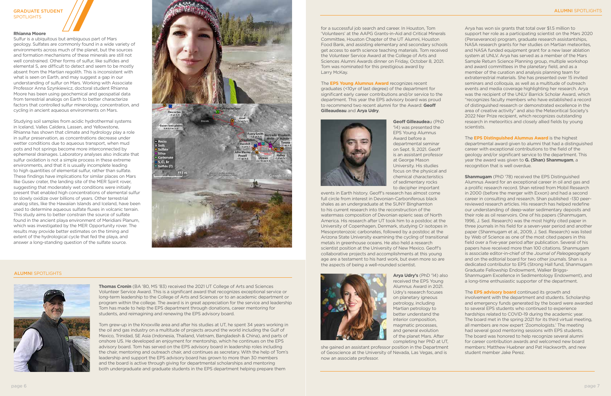#### **Rhianna Moore**

Sulfur is a ubiquitous but ambiguous part of Mars geology. Sulfates are commonly found in a wide variety of environments across much of the planet, but the sources and formation mechanisms of these minerals are still not well constrained. Other forms of sulfur, like sulfides and elemental S, are difficult to detect and seem to be mostly absent from the Martian regolith. This is inconsistent with what is seen on Earth, and may suggest a gap in our understanding of sulfur on Mars. Working with Associate Professor Anna Szynkiewicz, doctoral student Rhianna Moore has been using geochemical and geospatial data from terrestrial analogs on Earth to better characterize factors that controlled sulfur minerology, concentration, and cycling in ancient aqueous environments on Mars.

Studying soil samples from acidic hydrothermal systems in Iceland, Valles Caldera, Lassen, and Yellowstone, Rhianna has shown that climate and hydrology play a role in sulfur preservation, as concentrations decrease under wetter conditions due to aqueous transport, when mud pots and hot springs become more interconnected by ephemeral drainages. Laboratory analyses also indicate that sulfur oxidation is not a simple process in these extreme environments, and that it is usually incomplete leading to high quantities of elemental sulfur, rather than sulfate. These findings have implications for similar places on Mars like Gusev crater, the landing site of the MER Spirit rover, suggesting that moderately wet conditions were initially present that enabled high concentrations of elemental sulfur to slowly oxidize over billions of years. Other terrestrial analog sites, like the Hawaiian Islands and Iceland, have been used to determine aqueous sulfate fluxes in volcanic terrain. This study aims to better constrain the source of sulfate found in the ancient playa environment of Meridiani Planum, which was investigated by the MER Opportunity rover. The results may provide better estimates on the timing and extent of the hydrological cycle that fed the playa, and answer a long-standing question of the sulfate source.



**Thomas Cronin** (BA '80, MS '83) received the 2021 UT College of Arts and Sciences Volunteer Service Award. This is a significant award that recognizes exceptional service or long-term leadership to the College of Arts and Sciences or to an academic department or program within the college. The award is in great appreciation for the service and leadership Tom has made to help the EPS department through donations, career mentoring for students, and reimagining and renewing the EPS advisory board.

Tom grew-up in the Knoxville area and after his studies at UT, he spent 34 years working in the oil and gas industry on a multitude of projects around the world including the Gulf of Mexico, Trinidad, SE Asia (Indonesia, Thailand, Vietnam, Bangladesh & China), and parts of onshore US. He developed an enjoyment for mentorship, which he continues on the EPS advisory board. Tom has served on the EPS advisory board in leadership roles including the chair, mentoring and outreach chair, and continues as secretary. With the help of Tom's leadership and support the EPS advisory board has grown to more than 30 members and the board is active through giving for departmental scholarships and mentoring both undergraduate and graduate students in the EPS department helping prepare them

for a successful job search and career. In Houston, Tom 'Volunteers' at the AAPG Grants-in-Aid and Critical Minerals Committee, Houston Chapter of the UT Alumni, Houston Food Bank, and assisting elementary and secondary schools get access to earth science teaching materials. Tom received the Volunteer Service Award at the College of Arts and Sciences Alumni Awards dinner on Friday, October 8, 2021. Tom was nominated for this prestigious award by Larry McKay.

The **EPS Young Alumnus Award** recognizes recent graduates (<10yr of last degree) of the department for significant early career contributions and/or service to the department. This year the EPS advisory board was proud to recommend two recent alumni for the Award: **Geoff Gilleaudeau** and **Arya Udry**.



**Shanmugam** (PhD '78) received the EPS Distinguished Alumnus Award for an exceptional career in oil and gas and a prolific research record. Shan retired from Mobil Research in 2000 (before the merger with Exxon) and had a second career in consulting and research. Shan published ~130 peerreviewed research articles. His research has helped redefine our understanding of deep-water sedimentary deposits and their role as oil reservoirs. One of his papers (Shanmugam, 1996, J. Sed. Research) was the most highly cited paper in three journals in his field for a seven-year period and another paper (Shanmugam et al., 2009, J. Sed. Research) was listed by Web of Science as one of the most cited papers in this field over a five-year period after publication. Several of his papers have received more than 100 citations. Shanmugam is associate editor-in-chief of the *Journal of Paleogeography* and on the editorial board for two other journals. Shan is a dedicated contributor to EPS (Strong Hall fund, Shanmugam Graduate Fellowship Endowment, Walker Briggs-Shanmugam Excellence in Sedimentology Endowment), and a long-time enthusiastic supporter of the department.

**Geoff Gilleaudea**u (PhD '14) was presented the EPS Young Alumnus Award before a departmental seminar on Sept. 9, 2021. Geoff is an assistant professor at George Mason University. His studies focus on the physical and chemical characteristics of sedimentary rocks to decipher important

#### GRADUATE STUDENT **SPOTLIGHTS**

events in Earth history. Geoff's research has almost come full circle from interest in Devonian-Carboniferous black shales as an undergraduate at the SUNY Binghamton to his current research into the reconstruction of the watermass composition of Devonian epieric seas of North America. His research after UT took him to a postdoc at the University of Copenhagen, Denmark, studying Cr isotopes in Mesoproterozoic carbonates, followed by a postdoc at the Arizona State University examining the cycling of transitional metals in greenhouse oceans. He also held a research scientist position at the University of New Mexico. Geoff's collaborative projects and accomplishments at this young age are a testament to his hard work, but even more so are the aspects of being a well-rounded scientist.



**Arya Udry's** (PhD '14) also received the EPS Young Alumnus Award in 2021. Udry's research focuses on planetary igneous petrology, including Martian petrology to better understand the interior composition, magmatic processes, and general evolution of the planet Mars. After completing her PhD at UT,

she gained an assistant professor position in the Department of Geoscience at the University of Nevada, Las Vegas, and is now an associate professor.

Arya has won six grants that total over \$1.5 million to support her role as a participating scientist on the Mars 2020 (Perseverance) program, graduate research assistantships, NASA research grants for her studies on Martian meteorites, and NASA funded equipment grant for a new laser ablation system at UNLV. Arya has served as a member of the Mars Sample Return Science Planning group, multiple workshop and award committees in the planetary field, and as a member of the curation and analysis planning team for extraterrestrial materials. She has presented over 15 invited seminars and colloquia, as well as a multitude of outreach events and media coverage highlighting her research. Arya was the recipient of the UNLV Barrick Scholar Award, which "recognizes faculty members who have established a record of distinguished research or demonstrated excellence in the area of creative activity" and also the Meteoritical Society's 2022 Nier Prize recipient, which recognizes outstanding research in meteoritics and closely allied fields by young scientists.

The **EPS Distinguished Alumnus Award** is the highest departmental award given to alumni that had a distinguished career with exceptional contributions to the field of the geology and/or significant service to the department. This year the award was given to **G. (Shan) Shanmugam**, a recognition that is well overdue.

The **EPS advisory board** continued its growth and involvement with the department and students. Scholarship and emergency funds generated by the board were awarded to several EPS students who continued to experience hardships related to COVID-19 during the academic year. The board met in the spring 2021 for its third virtual meeting, all members are now expert 'Zoomologists.' The meeting had several good mentoring sessions with EPS students. The board was honored to help recognize several alumni for career contribution awards and welcomed new board members: Matthew Huebner and Pat Hackworth, and new student member Jake Perez.

#### ALUMNI SPOTLIGHTS